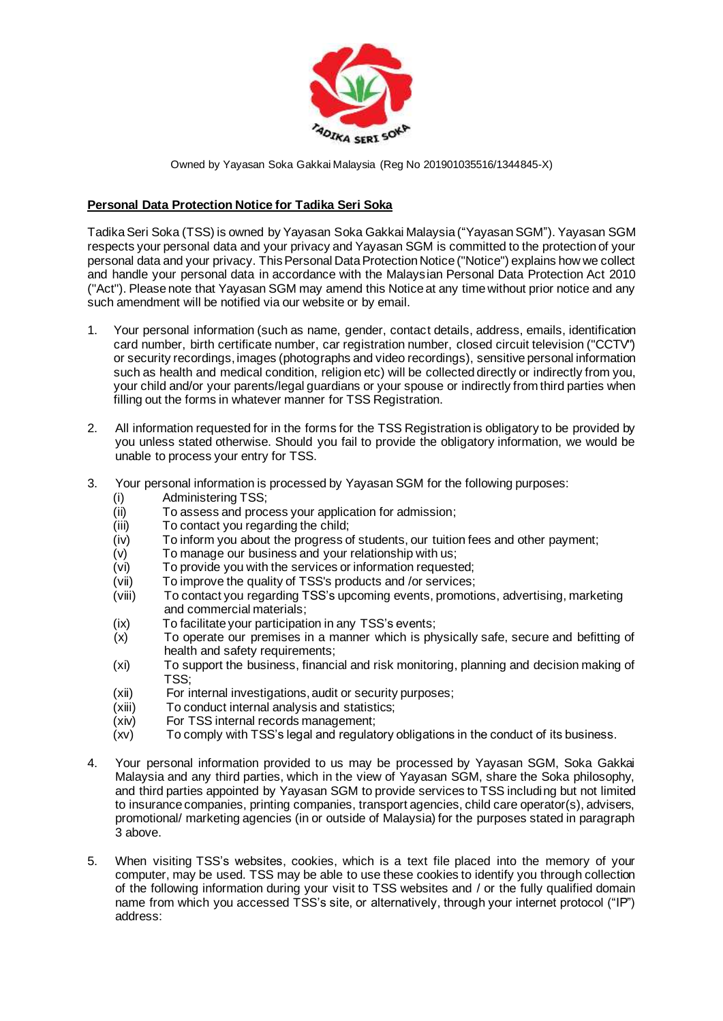

## **Personal Data Protection Notice for Tadika Seri Soka**

Tadika Seri Soka (TSS) is owned by Yayasan Soka Gakkai Malaysia ("Yayasan SGM"). Yayasan SGM respects your personal data and your privacy and Yayasan SGM is committed to the protection of your personal data and your privacy. This Personal Data Protection Notice ("Notice") explains how we collect and handle your personal data in accordance with the Malaysian Personal Data Protection Act 2010 ("Act"). Please note that Yayasan SGM may amend this Notice at any time without prior notice and any such amendment will be notified via our website or by email.

- 1. Your personal information (such as name, gender, contact details, address, emails, identification card number, birth certificate number, car registration number, closed circuit television ("CCTV") or security recordings, images (photographs and video recordings), sensitive personal information such as health and medical condition, religion etc) will be collected directly or indirectly from you, your child and/or your parents/legal guardians or your spouse or indirectly from third parties when filling out the forms in whatever manner for TSS Registration.
- 2. All information requested for in the forms for the TSS Registration is obligatory to be provided by you unless stated otherwise. Should you fail to provide the obligatory information, we would be unable to process your entry for TSS.
- 3. Your personal information is processed by Yayasan SGM for the following purposes:
	- (i) Administering TSS;
	- (ii) To assess and process your application for admission;
	- (iii) To contact you regarding the child;
	- $(iv)$  To inform you about the progress of students, our tuition fees and other payment;
	- (v) To manage our business and your relationship with us;
	- (vi) To provide you with the services or information requested;
	- (vii) To improve the quality of TSS's products and /or services;
	- (viii) To contact you regarding TSS's upcoming events, promotions, advertising, marketing and commercial materials;
	- (ix) To facilitate your participation in any TSS's events;
	- (x) To operate our premises in a manner which is physically safe, secure and befitting of health and safety requirements;
	- (xi) To support the business, financial and risk monitoring, planning and decision making of TSS;
	- (xii) For internal investigations, audit or security purposes;
	- (xiii) To conduct internal analysis and statistics;
	- (xiv) For TSS internal records management;
	- (xv) To comply with TSS's legal and regulatory obligations in the conduct of its business.
- 4. Your personal information provided to us may be processed by Yayasan SGM, Soka Gakkai Malaysia and any third parties, which in the view of Yayasan SGM, share the Soka philosophy, and third parties appointed by Yayasan SGM to provide services to TSS including but not limited to insurance companies, printing companies, transport agencies, child care operator(s), advisers, promotional/ marketing agencies (in or outside of Malaysia) for the purposes stated in paragraph 3 above.
- 5. When visiting TSS's websites, cookies, which is a text file placed into the memory of your computer, may be used. TSS may be able to use these cookies to identify you through collection of the following information during your visit to TSS websites and / or the fully qualified domain name from which you accessed TSS's site, or alternatively, through your internet protocol ("IP") address: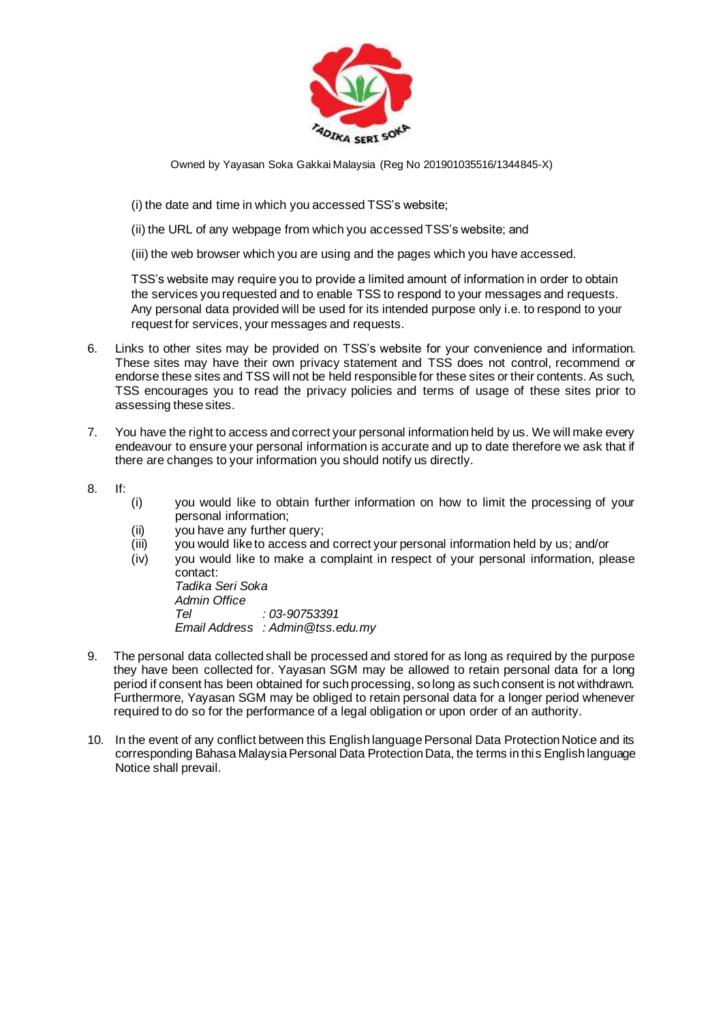

- (i) the date and time in which you accessed TSS's website;
- (ii) the URL of any webpage from which you accessed TSS's website; and
- (iii) the web browser which you are using and the pages which you have accessed.

TSS's website may require you to provide a limited amount of information in order to obtain the services you requested and to enable TSS to respond to your messages and requests. Any personal data provided will be used for its intended purpose only i.e. to respond to your request for services, your messages and requests.

- 6. Links to other sites may be provided on TSS's website for your convenience and information. These sites may have their own privacy statement and TSS does not control, recommend or endorse these sites and TSS will not be held responsible for these sites or their contents. As such, TSS encourages you to read the privacy policies and terms of usage of these sites prior to assessing these sites.
- 7. You have the right to access and correct your personal information held by us. We will make every endeavour to ensure your personal information is accurate and up to date therefore we ask that if there are changes to your information you should notify us directly.
- 8. If:
- (i) you would like to obtain further information on how to limit the processing of your personal information;
- (ii) you have any further query;
- (iii) you would like to access and correct your personal information held by us; and/or
- (iv) you would like to make a complaint in respect of your personal information, please contact: *Tadika Seri Soka*

*Admin Office Tel : 03-90753391 Email Address : Admin@tss.edu.my*

- 9. The personal data collected shall be processed and stored for as long as required by the purpose they have been collected for. Yayasan SGM may be allowed to retain personal data for a long period if consent has been obtained for such processing, so long as such consent is not withdrawn. Furthermore, Yayasan SGM may be obliged to retain personal data for a longer period whenever required to do so for the performance of a legal obligation or upon order of an authority.
- 10. In the event of any conflict between this English language Personal Data Protection Notice and its corresponding Bahasa Malaysia Personal Data Protection Data, the terms in this English language Notice shall prevail.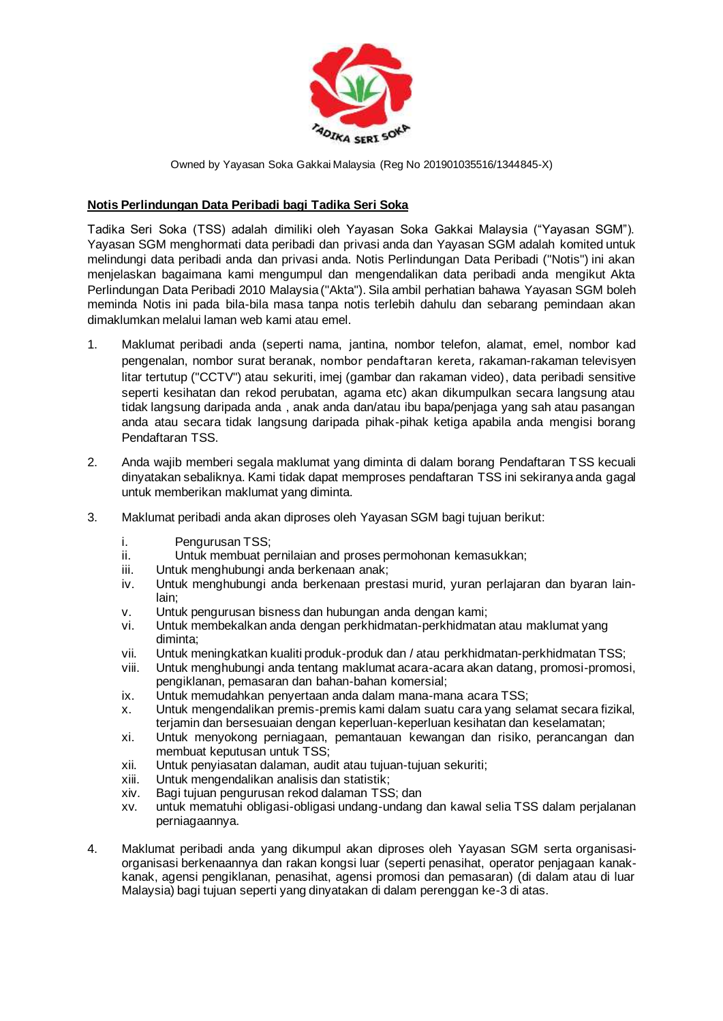

## **Notis Perlindungan Data Peribadi bagi Tadika Seri Soka**

Tadika Seri Soka (TSS) adalah dimiliki oleh Yayasan Soka Gakkai Malaysia ("Yayasan SGM"). Yayasan SGM menghormati data peribadi dan privasi anda dan Yayasan SGM adalah komited untuk melindungi data peribadi anda dan privasi anda. Notis Perlindungan Data Peribadi ("Notis") ini akan menjelaskan bagaimana kami mengumpul dan mengendalikan data peribadi anda mengikut Akta Perlindungan Data Peribadi 2010 Malaysia ("Akta"). Sila ambil perhatian bahawa Yayasan SGM boleh meminda Notis ini pada bila-bila masa tanpa notis terlebih dahulu dan sebarang pemindaan akan dimaklumkan melalui laman web kami atau emel.

- 1. Maklumat peribadi anda (seperti nama, jantina, nombor telefon, alamat, emel, nombor kad pengenalan, nombor surat beranak, nombor pendaftaran kereta, rakaman-rakaman televisyen litar tertutup ("CCTV") atau sekuriti, imej (gambar dan rakaman video), data peribadi sensitive seperti kesihatan dan rekod perubatan, agama etc) akan dikumpulkan secara langsung atau tidak langsung daripada anda , anak anda dan/atau ibu bapa/penjaga yang sah atau pasangan anda atau secara tidak langsung daripada pihak-pihak ketiga apabila anda mengisi borang Pendaftaran TSS.
- 2. Anda wajib memberi segala maklumat yang diminta di dalam borang Pendaftaran TSS kecuali dinyatakan sebaliknya. Kami tidak dapat memproses pendaftaran TSS ini sekiranya anda gagal untuk memberikan maklumat yang diminta.
- 3. Maklumat peribadi anda akan diproses oleh Yayasan SGM bagi tujuan berikut:
	- i. Pengurusan TSS;
	- ii. Untuk membuat pernilaian and proses permohonan kemasukkan;
	- iii. Untuk menghubungi anda berkenaan anak;
	- iv. Untuk menghubungi anda berkenaan prestasi murid, yuran perlajaran dan byaran lainlain;
	- v. Untuk pengurusan bisness dan hubungan anda dengan kami;
	- vi. Untuk membekalkan anda dengan perkhidmatan-perkhidmatan atau maklumat yang diminta;
	- vii. Untuk meningkatkan kualiti produk-produk dan / atau perkhidmatan-perkhidmatan TSS;
	- viii. Untuk menghubungi anda tentang maklumat acara-acara akan datang, promosi-promosi, pengiklanan, pemasaran dan bahan-bahan komersial;
	- ix. Untuk memudahkan penyertaan anda dalam mana-mana acara TSS;
	- x. Untuk mengendalikan premis-premis kami dalam suatu cara yang selamat secara fizikal, terjamin dan bersesuaian dengan keperluan-keperluan kesihatan dan keselamatan;
	- xi. Untuk menyokong perniagaan, pemantauan kewangan dan risiko, perancangan dan membuat keputusan untuk TSS;
	- xii. Untuk penyiasatan dalaman, audit atau tujuan-tujuan sekuriti;
	- xiii. Untuk mengendalikan analisis dan statistik;
	- xiv. Bagi tujuan pengurusan rekod dalaman TSS; dan
	- xv. untuk mematuhi obligasi-obligasi undang-undang dan kawal selia TSS dalam perjalanan perniagaannya.
- 4. Maklumat peribadi anda yang dikumpul akan diproses oleh Yayasan SGM serta organisasiorganisasi berkenaannya dan rakan kongsi luar (seperti penasihat, operator penjagaan kanakkanak, agensi pengiklanan, penasihat, agensi promosi dan pemasaran) (di dalam atau di luar Malaysia) bagi tujuan seperti yang dinyatakan di dalam perenggan ke-3 di atas.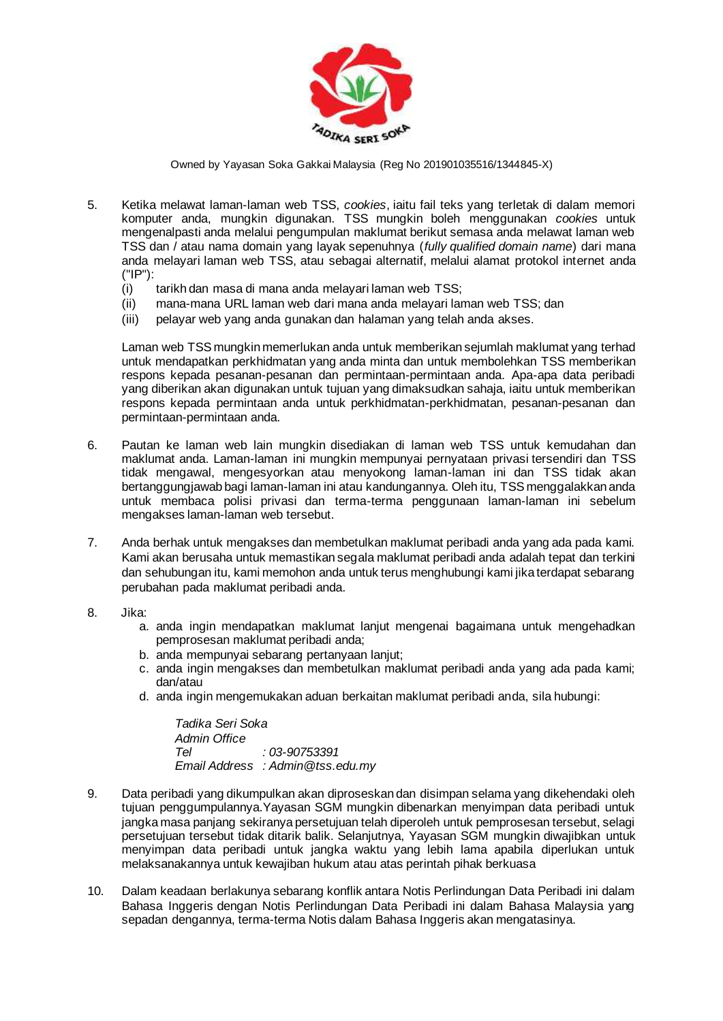

- 5. Ketika melawat laman-laman web TSS, *cookies*, iaitu fail teks yang terletak di dalam memori komputer anda, mungkin digunakan. TSS mungkin boleh menggunakan *cookies* untuk mengenalpasti anda melalui pengumpulan maklumat berikut semasa anda melawat laman web TSS dan / atau nama domain yang layak sepenuhnya (*fully qualified domain name*) dari mana anda melayari laman web TSS, atau sebagai alternatif, melalui alamat protokol internet anda ("IP"):
	- (i) tarikh dan masa di mana anda melayari laman web TSS;
	- (ii) mana-mana URL laman web dari mana anda melayari laman web TSS; dan
	- (iii) pelayar web yang anda gunakan dan halaman yang telah anda akses.

Laman web TSS mungkin memerlukan anda untuk memberikan sejumlah maklumat yang terhad untuk mendapatkan perkhidmatan yang anda minta dan untuk membolehkan TSS memberikan respons kepada pesanan-pesanan dan permintaan-permintaan anda. Apa-apa data peribadi yang diberikan akan digunakan untuk tujuan yang dimaksudkan sahaja, iaitu untuk memberikan respons kepada permintaan anda untuk perkhidmatan-perkhidmatan, pesanan-pesanan dan permintaan-permintaan anda.

- 6. Pautan ke laman web lain mungkin disediakan di laman web TSS untuk kemudahan dan maklumat anda. Laman-laman ini mungkin mempunyai pernyataan privasi tersendiri dan TSS tidak mengawal, mengesyorkan atau menyokong laman-laman ini dan TSS tidak akan bertanggungjawab bagi laman-laman ini atau kandungannya. Oleh itu, TSS menggalakkan anda untuk membaca polisi privasi dan terma-terma penggunaan laman-laman ini sebelum mengakses laman-laman web tersebut.
- 7. Anda berhak untuk mengakses dan membetulkan maklumat peribadi anda yang ada pada kami. Kami akan berusaha untuk memastikan segala maklumat peribadi anda adalah tepat dan terkini dan sehubungan itu, kami memohon anda untuk terus menghubungi kami jika terdapat sebarang perubahan pada maklumat peribadi anda.
- 8. Jika:
	- a. anda ingin mendapatkan maklumat lanjut mengenai bagaimana untuk mengehadkan pemprosesan maklumat peribadi anda;
	- b. anda mempunyai sebarang pertanyaan lanjut;
	- c. anda ingin mengakses dan membetulkan maklumat peribadi anda yang ada pada kami; dan/atau
	- d. anda ingin mengemukakan aduan berkaitan maklumat peribadi anda, sila hubungi:

*Tadika Seri Soka Admin Office Tel : 03-90753391 Email Address : Admin@tss.edu.my*

- 9. Data peribadi yang dikumpulkan akan diproseskan dan disimpan selama yang dikehendaki oleh tujuan penggumpulannya.Yayasan SGM mungkin dibenarkan menyimpan data peribadi untuk jangka masa panjang sekiranya persetujuan telah diperoleh untuk pemprosesan tersebut, selagi persetujuan tersebut tidak ditarik balik. Selanjutnya, Yayasan SGM mungkin diwajibkan untuk menyimpan data peribadi untuk jangka waktu yang lebih lama apabila diperlukan untuk melaksanakannya untuk kewajiban hukum atau atas perintah pihak berkuasa
- 10. Dalam keadaan berlakunya sebarang konflik antara Notis Perlindungan Data Peribadi ini dalam Bahasa Inggeris dengan Notis Perlindungan Data Peribadi ini dalam Bahasa Malaysia yang sepadan dengannya, terma-terma Notis dalam Bahasa Inggeris akan mengatasinya.